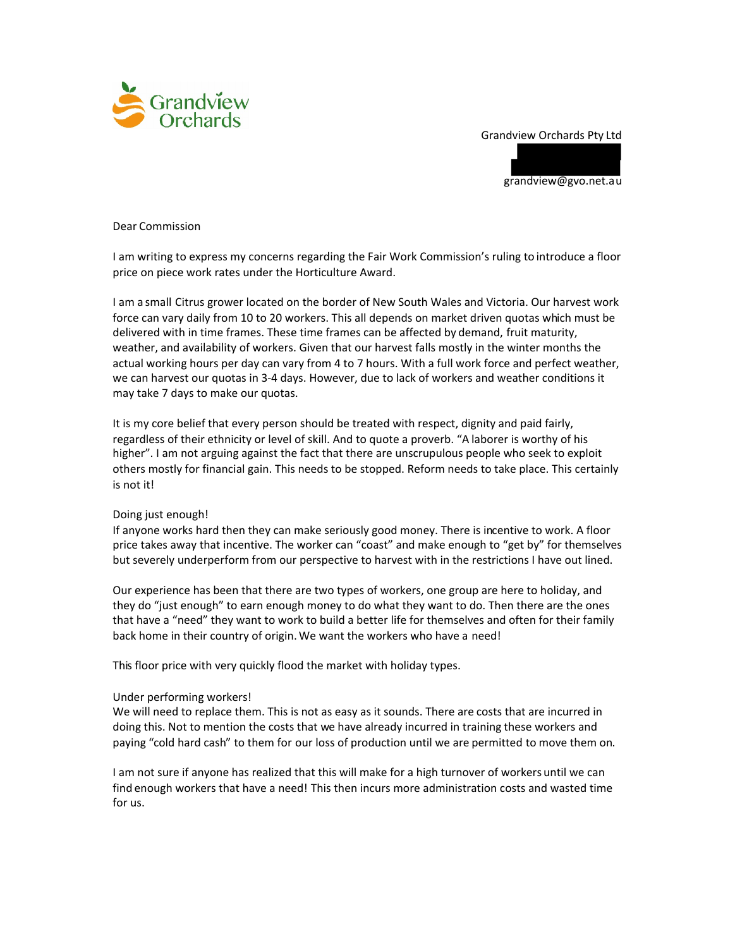### Grandview Orchards Pty Ltd



grandview@gvo.net.au

Dear Commission

I am writing to express my concerns regarding the Fair Work Commission's ruling to introduce a floor price on piece work rates under the Horticulture Award.

I am a small Citrus grower located on the border of New South Wales and Victoria. Our harvest work force can vary daily from 10 to 20 workers. This all depends on market driven quotas which must be delivered with in time frames. These time frames can be affected by demand, fruit maturity, weather, and availability of workers. Given that our harvest falls mostly in the winter months the actual working hours per day can vary from 4 to 7 hours. With a full work force and perfect weather, we can harvest our quotas in 3-4 days. However, due to lack of workers and weather conditions it may take 7 days to make our quotas.

It is my core belief that every person should be treated with respect, dignity and paid fairly, regardless of their ethnicity or level of skill. And to quote a proverb. "A laborer is worthy of his higher". I am not arguing against the fact that there are unscrupulous people who seek to exploit others mostly for financial gain. This needs to be stopped. Reform needs to take place. This certainly is not it!

# Doing just enough!

If anyone works hard then they can make seriously good money. There is incentive to work. A floor price takes away that incentive. The worker can "coast" and make enough to "get by" for themselves but severely underperform from our perspective to harvest with in the restrictions I have out lined.

Our experience has been that there are two types of workers, one group are here to holiday, and they do "just enough" to earn enough money to do what they want to do. Then there are the ones that have a "need" they want to work to build a better life for themselves and often for their family back home in their country of origin. We want the workers who have a need!

This floor price with very quickly flood the market with holiday types.

# Under performing workers!

We will need to replace them. This is not as easy as it sounds. There are costs that are incurred in doing this. Not to mention the costs that we have already incurred in training these workers and paying "cold hard cash" to them for our loss of production until we are permitted to move them on.

I am not sure if anyone has realized that this will make for a high turnover of workers until we can find enough workers that have a need! This then incurs more administration costs and wasted time for us.